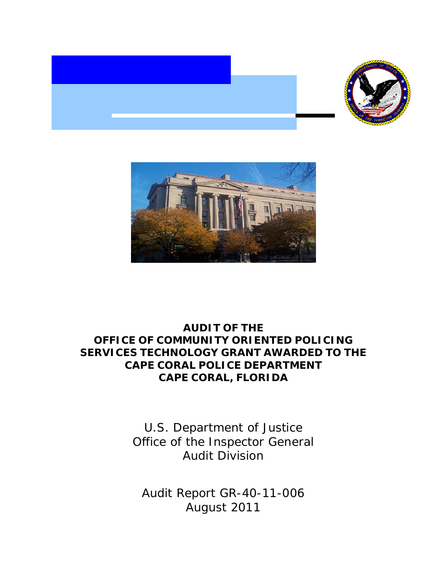



# **AUDIT OF THE OFFICE OF COMMUNITY ORIENTED POLICING SERVICES TECHNOLOGY GRANT AWARDED TO THE CAPE CORAL POLICE DEPARTMENT CAPE CORAL, FLORIDA**

U.S. Department of Justice Office of the Inspector General Audit Division

Audit Report GR-40-11-006 August 2011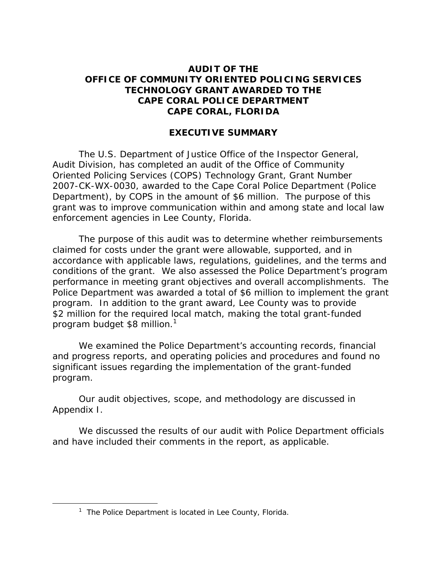## **AUDIT OF THE OFFICE OF COMMUNITY ORIENTED POLICING SERVICES TECHNOLOGY GRANT AWARDED TO THE CAPE CORAL POLICE DEPARTMENT CAPE CORAL, FLORIDA**

## **EXECUTIVE SUMMARY**

The U.S. Department of Justice Office of the Inspector General, Audit Division, has completed an audit of the Office of Community Oriented Policing Services (COPS) Technology Grant, Grant Number 2007-CK-WX-0030, awarded to the Cape Coral Police Department (Police Department), by COPS in the amount of \$6 million. The purpose of this grant was to improve communication within and among state and local law enforcement agencies in Lee County, Florida.

The purpose of this audit was to determine whether reimbursements claimed for costs under the grant were allowable, supported, and in accordance with applicable laws, regulations, guidelines, and the terms and conditions of the grant. We also assessed the Police Department's program performance in meeting grant objectives and overall accomplishments. The Police Department was awarded a total of \$6 million to implement the grant program. In addition to the grant award, Lee County was to provide \$2 million for the required local match, making the total grant-funded program budget \$8 million.<sup>1</sup>

We examined the Police Department's accounting records, financial and progress reports, and operating policies and procedures and found no significant issues regarding the implementation of the grant-funded program.

Our audit objectives, scope, and methodology are discussed in Appendix I.

We discussed the results of our audit with Police Department officials and have included their comments in the report, as applicable.

<sup>&</sup>lt;sup>1</sup> The Police Department is located in Lee County, Florida.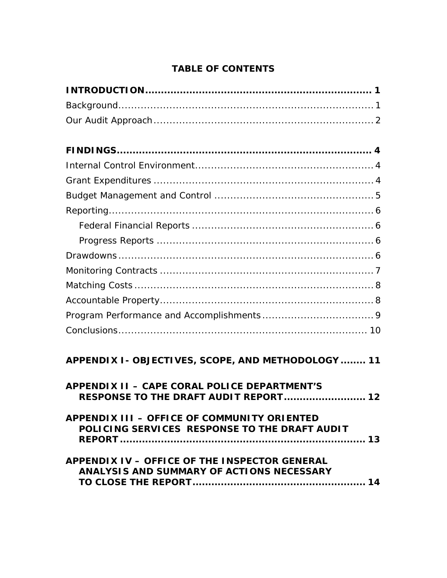## **TABLE OF CONTENTS**

| APPENDIX I - OBJECTIVES, SCOPE, AND METHODOLOGY  11                                          |
|----------------------------------------------------------------------------------------------|
| <b>APPENDIX II - CAPE CORAL POLICE DEPARTMENT'S</b><br>RESPONSE TO THE DRAFT AUDIT REPORT 12 |
| APPENDIX III - OFFICE OF COMMUNITY ORIENTED<br>POLICING SERVICES RESPONSE TO THE DRAFT AUDIT |
| APPENDIX IV - OFFICE OF THE INSPECTOR GENERAL<br>ANALYSIS AND SUMMARY OF ACTIONS NECESSARY   |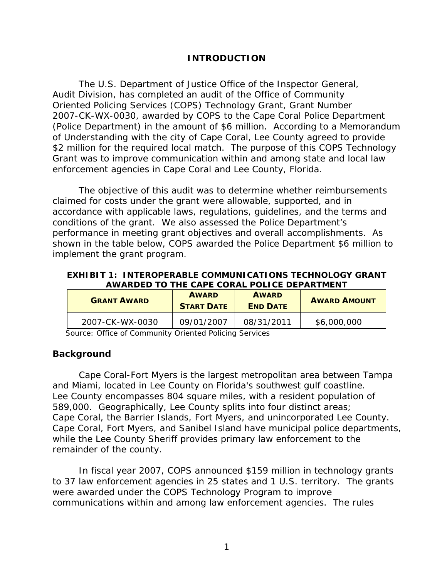## **INTRODUCTION**

Oriented Policing Services (COPS) Technology Grant, Grant Number The U.S. Department of Justice Office of the Inspector General, Audit Division, has completed an audit of the Office of Community 2007-CK-WX-0030, awarded by COPS to the Cape Coral Police Department (Police Department) in the amount of \$6 million. According to a Memorandum of Understanding with the city of Cape Coral, Lee County agreed to provide \$2 million for the required local match. The purpose of this COPS Technology Grant was to improve communication within and among state and local law enforcement agencies in Cape Coral and Lee County, Florida.

The objective of this audit was to determine whether reimbursements claimed for costs under the grant were allowable, supported, and in accordance with applicable laws, regulations, guidelines, and the terms and conditions of the grant. We also assessed the Police Department's performance in meeting grant objectives and overall accomplishments. As shown in the table below, COPS awarded the Police Department \$6 million to implement the grant program.

**EXHIBIT 1: INTEROPERABLE COMMUNICATIONS TECHNOLOGY GRANT AWARDED TO THE CAPE CORAL POLICE DEPARTMENT** 

| <b>GRANT AWARD</b> | <b>AWARD</b><br><b>START DATE</b> | <b>AWARD</b><br><b>END DATE</b> | <b>AWARD AMOUNT</b> |
|--------------------|-----------------------------------|---------------------------------|---------------------|
| 2007-CK-WX-0030    | 09/01/2007                        | 08/31/2011                      | \$6,000,000         |

Source: Office of Community Oriented Policing Services

## **Background**

Cape Coral-Fort Myers is the largest metropolitan area between Tampa and Miami, located in Lee County on Florida's southwest gulf coastline. Lee County encompasses 804 square miles, with a resident population of 589,000. Geographically, Lee County splits into four distinct areas; Cape Coral, the Barrier Islands, Fort Myers, and unincorporated Lee County. Cape Coral, Fort Myers, and Sanibel Island have municipal police departments, while the Lee County Sheriff provides primary law enforcement to the remainder of the county.

In fiscal year 2007, COPS announced \$159 million in technology grants to 37 law enforcement agencies in 25 states and 1 U.S. territory. The grants were awarded under the COPS Technology Program to improve communications within and among law enforcement agencies. The rules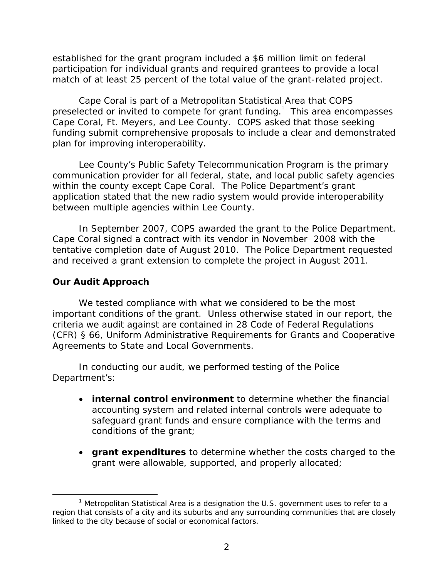<span id="page-4-0"></span>established for the grant program included a \$6 million limit on federal participation for individual grants and required grantees to provide a local match of at least 25 percent of the total value of the grant-related project.

Cape Coral is part of a Metropolitan Statistical Area that COPS preselected or invited to compete for grant funding. $1$  This area encompasses Cape Coral, Ft. Meyers, and Lee County. COPS asked that those seeking funding submit comprehensive proposals to include a clear and demonstrated plan for improving interoperability.

Lee County's Public Safety Telecommunication Program is the primary communication provider for all federal, state, and local public safety agencies within the county except Cape Coral. The Police Department's grant application stated that the new radio system would provide interoperability between multiple agencies within Lee County.

In September 2007, COPS awarded the grant to the Police Department. Cape Coral signed a contract with its vendor in November 2008 with the tentative completion date of August 2010. The Police Department requested and received a grant extension to complete the project in August 2011.

## **Our Audit Approach**

We tested compliance with what we considered to be the most important conditions of the grant. Unless otherwise stated in our report, the criteria we audit against are contained in 28 Code of Federal Regulations (CFR) § 66, Uniform Administrative Requirements for Grants and Cooperative Agreements to State and Local Governments.

In conducting our audit, we performed testing of the Police Department's:

- **internal control environment** to determine whether the financial accounting system and related internal controls were adequate to safeguard grant funds and ensure compliance with the terms and conditions of the grant;
- **grant expenditures** to determine whether the costs charged to the grant were allowable, supported, and properly allocated;

<sup>&</sup>lt;sup>1</sup> Metropolitan Statistical Area is a designation the U.S. government uses to refer to a region that consists of a city and its suburbs and any surrounding communities that are closely linked to the city because of social or economical factors.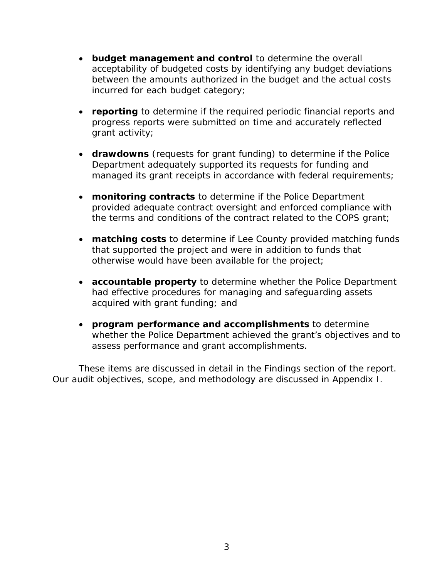- **budget management and control** to determine the overall acceptability of budgeted costs by identifying any budget deviations between the amounts authorized in the budget and the actual costs incurred for each budget category;
- **reporting** to determine if the required periodic financial reports and progress reports were submitted on time and accurately reflected grant activity;
- **drawdowns** (requests for grant funding) to determine if the Police Department adequately supported its requests for funding and managed its grant receipts in accordance with federal requirements;
- **monitoring contracts** to determine if the Police Department provided adequate contract oversight and enforced compliance with the terms and conditions of the contract related to the COPS grant;
- **matching costs** to determine if Lee County provided matching funds that supported the project and were in addition to funds that otherwise would have been available for the project;
- **accountable property** to determine whether the Police Department had effective procedures for managing and safeguarding assets acquired with grant funding; and
- **program performance and accomplishments** to determine whether the Police Department achieved the grant's objectives and to assess performance and grant accomplishments.

These items are discussed in detail in the Findings section of the report. Our audit objectives, scope, and methodology are discussed in Appendix I.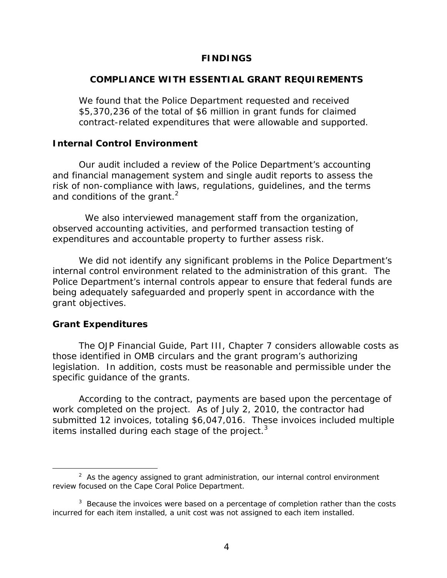### **FINDINGS**

## <span id="page-6-0"></span>**COMPLIANCE WITH ESSENTIAL GRANT REQUIREMENTS**

We found that the Police Department requested and received \$5,370,236 of the total of \$6 million in grant funds for claimed contract-related expenditures that were allowable and supported.

### **Internal Control Environment**

Our audit included a review of the Police Department's accounting and financial management system and single audit reports to assess the risk of non-compliance with laws, regulations, guidelines, and the terms and conditions of the grant.<sup>2</sup>

We also interviewed management staff from the organization, observed accounting activities, and performed transaction testing of expenditures and accountable property to further assess risk.

We did not identify any significant problems in the Police Department's internal control environment related to the administration of this grant. The Police Department's internal controls appear to ensure that federal funds are being adequately safeguarded and properly spent in accordance with the grant objectives.

### **Grant Expenditures**

The OJP Financial Guide, Part III, Chapter 7 considers allowable costs as those identified in OMB circulars and the grant program's authorizing legislation. In addition, costs must be reasonable and permissible under the specific guidance of the grants.

items installed during each stage of the project. $3$ According to the contract, payments are based upon the percentage of work completed on the project. As of July 2, 2010, the contractor had submitted 12 invoices, totaling \$6,047,016. These invoices included multiple

 $2$  As the agency assigned to grant administration, our internal control environment review focused on the Cape Coral Police Department.

incurred for each item installed, a unit cost was not assigned to each item installed.<br>4  $3$  Because the invoices were based on a percentage of completion rather than the costs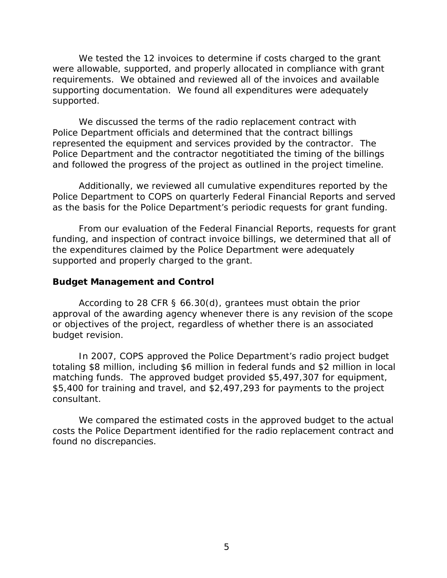<span id="page-7-0"></span>We tested the 12 invoices to determine if costs charged to the grant were allowable, supported, and properly allocated in compliance with grant requirements. We obtained and reviewed all of the invoices and available supporting documentation. We found all expenditures were adequately supported.

We discussed the terms of the radio replacement contract with Police Department officials and determined that the contract billings represented the equipment and services provided by the contractor. The Police Department and the contractor negotitiated the timing of the billings and followed the progress of the project as outlined in the project timeline.

Additionally, we reviewed all cumulative expenditures reported by the Police Department to COPS on quarterly Federal Financial Reports and served as the basis for the Police Department's periodic requests for grant funding.

From our evaluation of the Federal Financial Reports, requests for grant funding, and inspection of contract invoice billings, we determined that all of the expenditures claimed by the Police Department were adequately supported and properly charged to the grant.

## **Budget Management and Control**

According to 28 CFR § 66.30(d), grantees must obtain the prior approval of the awarding agency whenever there is any revision of the scope or objectives of the project, regardless of whether there is an associated budget revision.

In 2007, COPS approved the Police Department's radio project budget totaling \$8 million, including \$6 million in federal funds and \$2 million in local matching funds. The approved budget provided \$5,497,307 for equipment, \$5,400 for training and travel, and \$2,497,293 for payments to the project consultant.

We compared the estimated costs in the approved budget to the actual costs the Police Department identified for the radio replacement contract and found no discrepancies.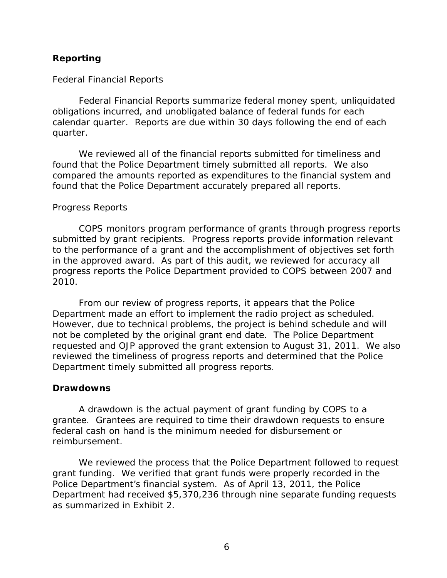## <span id="page-8-0"></span>**Reporting**

### *Federal Financial Reports*

Federal Financial Reports summarize federal money spent, unliquidated obligations incurred, and unobligated balance of federal funds for each calendar quarter. Reports are due within 30 days following the end of each quarter.

We reviewed all of the financial reports submitted for timeliness and found that the Police Department timely submitted all reports. We also compared the amounts reported as expenditures to the financial system and found that the Police Department accurately prepared all reports.

#### *Progress Reports*

COPS monitors program performance of grants through progress reports submitted by grant recipients. Progress reports provide information relevant to the performance of a grant and the accomplishment of objectives set forth in the approved award. As part of this audit, we reviewed for accuracy all progress reports the Police Department provided to COPS between 2007 and 2010.

From our review of progress reports, it appears that the Police Department made an effort to implement the radio project as scheduled. However, due to technical problems, the project is behind schedule and will not be completed by the original grant end date. The Police Department requested and OJP approved the grant extension to August 31, 2011. We also reviewed the timeliness of progress reports and determined that the Police Department timely submitted all progress reports.

#### **Drawdowns**

A drawdown is the actual payment of grant funding by COPS to a grantee. Grantees are required to time their drawdown requests to ensure federal cash on hand is the minimum needed for disbursement or reimbursement.

We reviewed the process that the Police Department followed to request grant funding. We verified that grant funds were properly recorded in the Police Department's financial system. As of April 13, 2011, the Police Department had received \$5,370,236 through nine separate funding requests as summarized in Exhibit 2.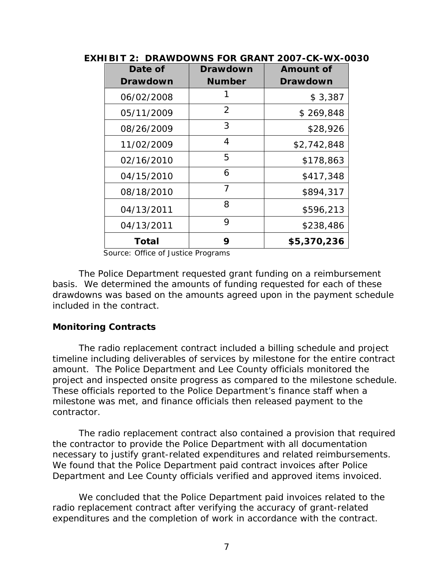| Date of    | <b>Drawdown</b> | <b>Amount of</b> |
|------------|-----------------|------------------|
| Drawdown   | Number          | <b>Drawdown</b>  |
| 06/02/2008 | 1               | \$3,387          |
| 05/11/2009 | 2               | \$269,848        |
| 08/26/2009 | 3               | \$28,926         |
| 11/02/2009 | 4               | \$2,742,848      |
| 02/16/2010 | 5               | \$178,863        |
| 04/15/2010 | 6               | \$417,348        |
| 08/18/2010 | $\overline{7}$  | \$894,317        |
| 04/13/2011 | 8               | \$596,213        |
| 04/13/2011 | 9               | \$238,486        |
| Total      | 9               | \$5,370,236      |

**EXHIBIT 2: DRAWDOWNS FOR GRANT 2007-CK-WX-0030** 

Source: Office of Justice Programs

The Police Department requested grant funding on a reimbursement basis. We determined the amounts of funding requested for each of these drawdowns was based on the amounts agreed upon in the payment schedule included in the contract.

## **Monitoring Contracts**

The radio replacement contract included a billing schedule and project timeline including deliverables of services by milestone for the entire contract amount. The Police Department and Lee County officials monitored the project and inspected onsite progress as compared to the milestone schedule. These officials reported to the Police Department's finance staff when a milestone was met, and finance officials then released payment to the contractor.

The radio replacement contract also contained a provision that required the contractor to provide the Police Department with all documentation necessary to justify grant-related expenditures and related reimbursements. We found that the Police Department paid contract invoices after Police Department and Lee County officials verified and approved items invoiced.

We concluded that the Police Department paid invoices related to the radio replacement contract after verifying the accuracy of grant-related expenditures and the completion of work in accordance with the contract.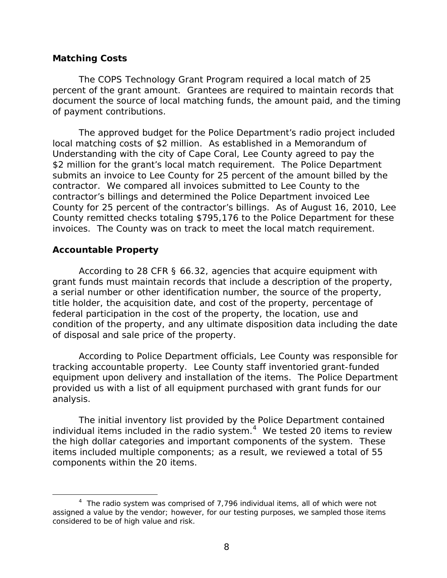## <span id="page-10-0"></span>**Matching Costs**

The COPS Technology Grant Program required a local match of 25 percent of the grant amount. Grantees are required to maintain records that document the source of local matching funds, the amount paid, and the timing of payment contributions.

The approved budget for the Police Department's radio project included local matching costs of \$2 million. As established in a Memorandum of Understanding with the city of Cape Coral, Lee County agreed to pay the \$2 million for the grant's local match requirement. The Police Department submits an invoice to Lee County for 25 percent of the amount billed by the contractor. We compared all invoices submitted to Lee County to the contractor's billings and determined the Police Department invoiced Lee County for 25 percent of the contractor's billings. As of August 16, 2010, Lee County remitted checks totaling \$795,176 to the Police Department for these invoices. The County was on track to meet the local match requirement.

## **Accountable Property**

According to 28 CFR § 66.32, agencies that acquire equipment with grant funds must maintain records that include a description of the property, a serial number or other identification number, the source of the property, title holder, the acquisition date, and cost of the property, percentage of federal participation in the cost of the property, the location, use and condition of the property, and any ultimate disposition data including the date of disposal and sale price of the property.

According to Police Department officials, Lee County was responsible for tracking accountable property. Lee County staff inventoried grant-funded equipment upon delivery and installation of the items. The Police Department provided us with a list of all equipment purchased with grant funds for our analysis.

The initial inventory list provided by the Police Department contained individual items included in the radio system.<sup>4</sup> We tested 20 items to review the high dollar categories and important components of the system. These items included multiple components; as a result, we reviewed a total of 55 components within the 20 items.

<sup>&</sup>lt;sup>4</sup> The radio system was comprised of 7,796 individual items, all of which were not assigned a value by the vendor; however, for our testing purposes, we sampled those items considered to be of high value and risk.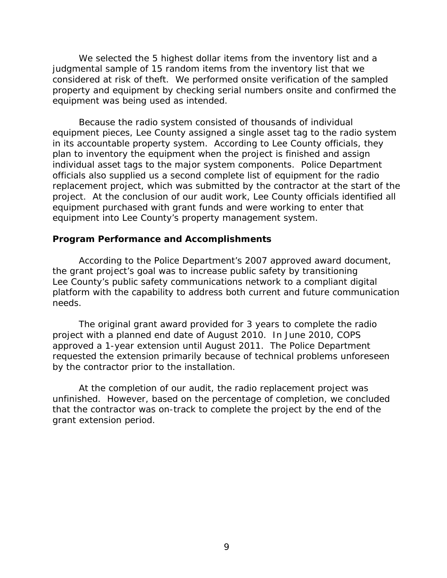<span id="page-11-0"></span>We selected the 5 highest dollar items from the inventory list and a judgmental sample of 15 random items from the inventory list that we considered at risk of theft. We performed onsite verification of the sampled property and equipment by checking serial numbers onsite and confirmed the equipment was being used as intended.

Because the radio system consisted of thousands of individual equipment pieces, Lee County assigned a single asset tag to the radio system in its accountable property system. According to Lee County officials, they plan to inventory the equipment when the project is finished and assign individual asset tags to the major system components. Police Department officials also supplied us a second complete list of equipment for the radio replacement project, which was submitted by the contractor at the start of the project. At the conclusion of our audit work, Lee County officials identified all equipment purchased with grant funds and were working to enter that equipment into Lee County's property management system.

## **Program Performance and Accomplishments**

According to the Police Department's 2007 approved award document, the grant project's goal was to increase public safety by transitioning Lee County's public safety communications network to a compliant digital platform with the capability to address both current and future communication needs.

The original grant award provided for 3 years to complete the radio project with a planned end date of August 2010. In June 2010, COPS approved a 1-year extension until August 2011. The Police Department requested the extension primarily because of technical problems unforeseen by the contractor prior to the installation.

At the completion of our audit, the radio replacement project was unfinished. However, based on the percentage of completion, we concluded that the contractor was on-track to complete the project by the end of the grant extension period.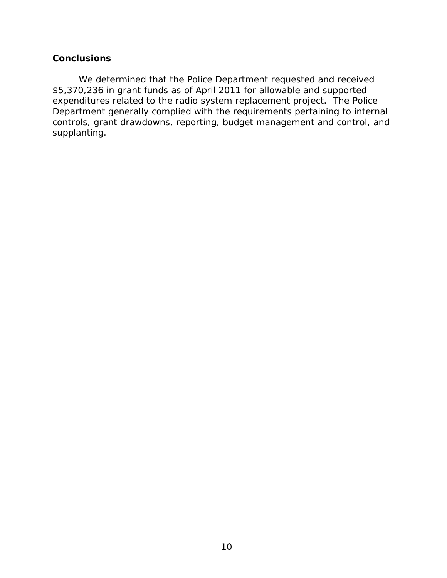## <span id="page-12-0"></span>**Conclusions**

We determined that the Police Department requested and received \$5,370,236 in grant funds as of April 2011 for allowable and supported expenditures related to the radio system replacement project. The Police Department generally complied with the requirements pertaining to internal controls, grant drawdowns, reporting, budget management and control, and supplanting.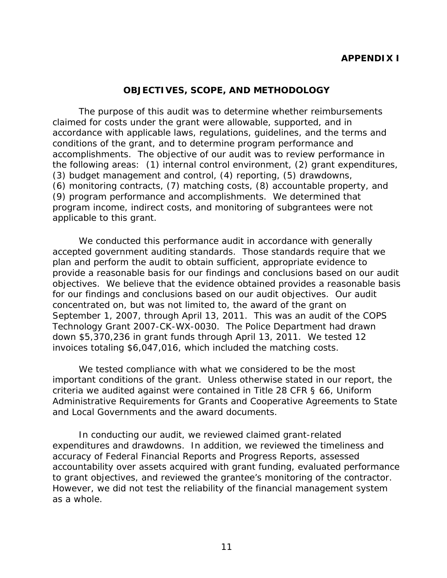## **APPENDIX I**

## **OBJECTIVES, SCOPE, AND METHODOLOGY**

<span id="page-13-0"></span>The purpose of this audit was to determine whether reimbursements claimed for costs under the grant were allowable, supported, and in accordance with applicable laws, regulations, guidelines, and the terms and conditions of the grant, and to determine program performance and accomplishments. The objective of our audit was to review performance in the following areas: (1) internal control environment, (2) grant expenditures, (3) budget management and control, (4) reporting, (5) drawdowns, (6) monitoring contracts, (7) matching costs, (8) accountable property, and (9) program performance and accomplishments. We determined that program income, indirect costs, and monitoring of subgrantees were not applicable to this grant.

We conducted this performance audit in accordance with generally accepted government auditing standards. Those standards require that we plan and perform the audit to obtain sufficient, appropriate evidence to provide a reasonable basis for our findings and conclusions based on our audit objectives. We believe that the evidence obtained provides a reasonable basis for our findings and conclusions based on our audit objectives. Our audit concentrated on, but was not limited to, the award of the grant on September 1, 2007, through April 13, 2011. This was an audit of the COPS Technology Grant 2007-CK-WX-0030. The Police Department had drawn down \$5,370,236 in grant funds through April 13, 2011. We tested 12 invoices totaling \$6,047,016, which included the matching costs.

We tested compliance with what we considered to be the most important conditions of the grant. Unless otherwise stated in our report, the criteria we audited against were contained in Title 28 CFR § 66, Uniform Administrative Requirements for Grants and Cooperative Agreements to State and Local Governments and the award documents.

to grant objectives, and reviewed the grantee's monitoring of the contractor. In conducting our audit, we reviewed claimed grant-related expenditures and drawdowns. In addition, we reviewed the timeliness and accuracy of Federal Financial Reports and Progress Reports, assessed accountability over assets acquired with grant funding, evaluated performance However, we did not test the reliability of the financial management system as a whole.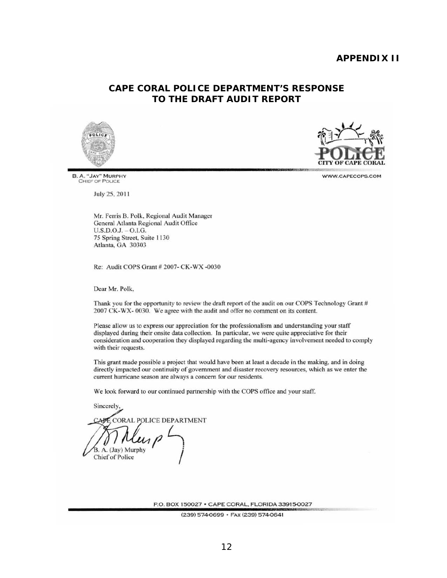## **APPENDIX II**

## **CAPE CORAL POLICE DEPARTMENT'S RESPONSE TO THE DRAFT AUDIT REPORT**





B. A. "JAY" MURPHY<br>CHIEF OF POLICE

July 25, 2011

Mr. Ferris B. Polk. Regional Audit Manager General Atlanta Regional Audit Office U.S.D.O.J. - 0.1.0. 75 Spring Street, Suite 1130 Atlanta, GA 30303

Re: Audit COPS Grant # 2007- CK-WX -0030

Dear Mr. Polk,

Thank you for the opportunity to review the draft report of the audit on our COPS Technology Grant  $#$ 2007 CK-WX- 0030. We agree with the audit and offer no comment on its content.

WWW.CAPECOPS.COM<br>
Judy 25, 2011<br>
Judy 25, 2011<br>
Judy 25, 2011<br>
Mc Ferris R . Policies (General Addito Missings (General Additor Stephend Audit Office<br>
U.S.D.O.J. - OLG.<br>
TS Spring Street, Suite 1130<br>
A filamin, GA 367033<br> Please allow us to express our appreciation for the professionalism and understanding your staff displayed during their onsite data collection. In particular, we were quite appreciative for their consideration and cooperation they displayed regarding the multi-agency involvement needed 10 comply with their requests.

This grant made possible a project that would have been at least a decade in the making, and in doing directly impacted our continuity of government and disaster recovery resources. which as we enter the current hurricane season are always a concern for our residents.

We look forward to our continued partnership with the COPS office and your staff.

Sincerely. CORAL POLICE DEPARTMENT  $\mathcal{U}_{\mu\nu}$ /

P.O. BOX 150027 · CAPE CORAL. FLORIDA33915-0027

(239) 574-0699 · Fax (239) 574-0641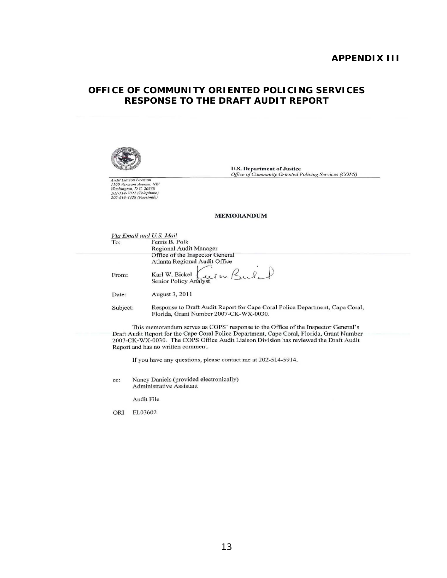#### **APPENDIX III**

## **OFFICE OF COMMUNITY ORIENTED POLICING SERVICES RESPONSE TO THE DRAFT AUDIT REPORT**



**U.S. Department of Justice**<br>Office of Community Oriented Policing Services (COPS)

#### **MEMORANDUM**

|          |                                                                                                                                            | <b>U.S. Department of Justice</b><br>Office of Community Oriented Policing Services (COPS)                                                                                                                                                                                                                    |
|----------|--------------------------------------------------------------------------------------------------------------------------------------------|---------------------------------------------------------------------------------------------------------------------------------------------------------------------------------------------------------------------------------------------------------------------------------------------------------------|
|          | <b>Audit Liaison Division</b><br>1100 Vermont Avenue, NW<br>Washington, D.C. 20530<br>202-514-7022 (Telephone)<br>202-616-4428 (Facsimile) |                                                                                                                                                                                                                                                                                                               |
|          |                                                                                                                                            | <b>MEMORANDUM</b>                                                                                                                                                                                                                                                                                             |
| To:      |                                                                                                                                            | Via Email and U.S. Mail<br>Ferris B. Polk<br><b>Regional Audit Manager</b>                                                                                                                                                                                                                                    |
|          |                                                                                                                                            | Office of the Inspector General<br>Atlanta Regional Audit Office                                                                                                                                                                                                                                              |
| From:    |                                                                                                                                            | we w Bule<br>Karl W. Bickel<br>Senior Policy Analyst                                                                                                                                                                                                                                                          |
| Date:    |                                                                                                                                            | August 3, 2011                                                                                                                                                                                                                                                                                                |
| Subject: |                                                                                                                                            | Response to Draft Audit Report for Cape Coral Police Department, Cape Coral,<br>Florida, Grant Number 2007-CK-WX-0030.                                                                                                                                                                                        |
|          |                                                                                                                                            | This memorandum serves as COPS' response to the Office of the Inspector General's<br>Draft Audit Report for the Cape Coral Police Department, Cape Coral, Florida, Grant Number<br>2007-CK-WX-0030. The COPS Office Audit Liaison Division has reviewed the Draft Audit<br>Report and has no written comment. |
|          |                                                                                                                                            | If you have any questions, please contact me at 202-514-5914.                                                                                                                                                                                                                                                 |
| $cc$ :   |                                                                                                                                            | Nancy Daniels (provided electronically)<br><b>Administrative Assistant</b>                                                                                                                                                                                                                                    |
|          | Audit File                                                                                                                                 |                                                                                                                                                                                                                                                                                                               |
| ORI      | FL03602                                                                                                                                    |                                                                                                                                                                                                                                                                                                               |
|          |                                                                                                                                            |                                                                                                                                                                                                                                                                                                               |
|          |                                                                                                                                            |                                                                                                                                                                                                                                                                                                               |
|          |                                                                                                                                            |                                                                                                                                                                                                                                                                                                               |
|          |                                                                                                                                            |                                                                                                                                                                                                                                                                                                               |
|          |                                                                                                                                            |                                                                                                                                                                                                                                                                                                               |
|          |                                                                                                                                            |                                                                                                                                                                                                                                                                                                               |
|          |                                                                                                                                            | 13                                                                                                                                                                                                                                                                                                            |